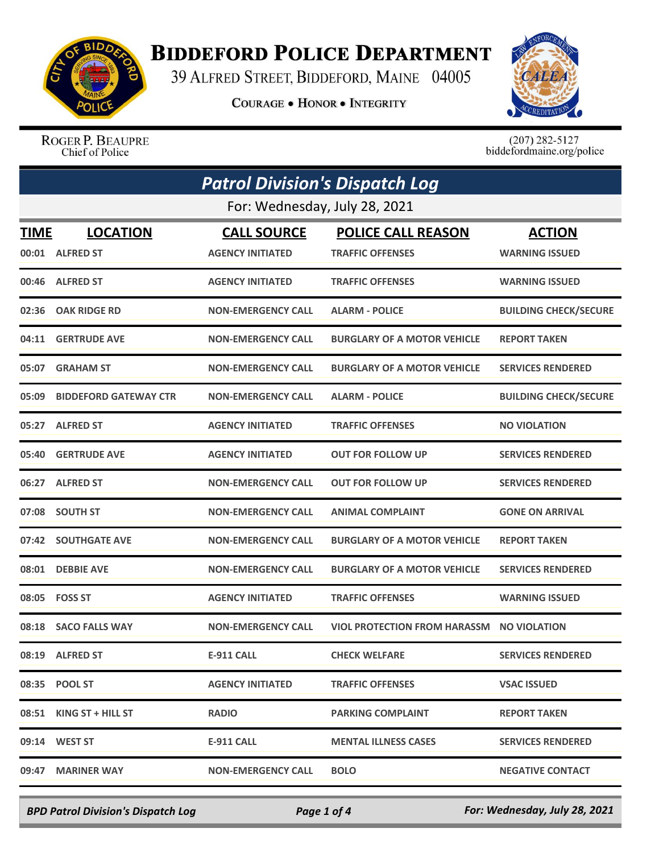

## **BIDDEFORD POLICE DEPARTMENT**

39 ALFRED STREET, BIDDEFORD, MAINE 04005

**COURAGE . HONOR . INTEGRITY** 



ROGER P. BEAUPRE Chief of Police

 $(207)$  282-5127<br>biddefordmaine.org/police

|       | <b>Patrol Division's Dispatch Log</b> |                           |                                           |                              |  |
|-------|---------------------------------------|---------------------------|-------------------------------------------|------------------------------|--|
|       | For: Wednesday, July 28, 2021         |                           |                                           |                              |  |
| TIME  | <b>LOCATION</b>                       | <b>CALL SOURCE</b>        | <b>POLICE CALL REASON</b>                 | <b>ACTION</b>                |  |
|       | 00:01 ALFRED ST                       | <b>AGENCY INITIATED</b>   | <b>TRAFFIC OFFENSES</b>                   | <b>WARNING ISSUED</b>        |  |
|       | 00:46 ALFRED ST                       | <b>AGENCY INITIATED</b>   | <b>TRAFFIC OFFENSES</b>                   | <b>WARNING ISSUED</b>        |  |
| 02:36 | <b>OAK RIDGE RD</b>                   | <b>NON-EMERGENCY CALL</b> | <b>ALARM - POLICE</b>                     | <b>BUILDING CHECK/SECURE</b> |  |
|       | 04:11 GERTRUDE AVE                    | <b>NON-EMERGENCY CALL</b> | <b>BURGLARY OF A MOTOR VEHICLE</b>        | <b>REPORT TAKEN</b>          |  |
|       | 05:07 GRAHAM ST                       | <b>NON-EMERGENCY CALL</b> | <b>BURGLARY OF A MOTOR VEHICLE</b>        | <b>SERVICES RENDERED</b>     |  |
| 05:09 | <b>BIDDEFORD GATEWAY CTR</b>          | <b>NON-EMERGENCY CALL</b> | <b>ALARM - POLICE</b>                     | <b>BUILDING CHECK/SECURE</b> |  |
|       | 05:27 ALFRED ST                       | <b>AGENCY INITIATED</b>   | <b>TRAFFIC OFFENSES</b>                   | <b>NO VIOLATION</b>          |  |
| 05:40 | <b>GERTRUDE AVE</b>                   | <b>AGENCY INITIATED</b>   | <b>OUT FOR FOLLOW UP</b>                  | <b>SERVICES RENDERED</b>     |  |
|       | 06:27 ALFRED ST                       | <b>NON-EMERGENCY CALL</b> | <b>OUT FOR FOLLOW UP</b>                  | <b>SERVICES RENDERED</b>     |  |
|       | 07:08 SOUTH ST                        | <b>NON-EMERGENCY CALL</b> | <b>ANIMAL COMPLAINT</b>                   | <b>GONE ON ARRIVAL</b>       |  |
|       | 07:42 SOUTHGATE AVE                   | <b>NON-EMERGENCY CALL</b> | <b>BURGLARY OF A MOTOR VEHICLE</b>        | <b>REPORT TAKEN</b>          |  |
| 08:01 | <b>DEBBIE AVE</b>                     | <b>NON-EMERGENCY CALL</b> | <b>BURGLARY OF A MOTOR VEHICLE</b>        | <b>SERVICES RENDERED</b>     |  |
|       | 08:05    FOSS ST                      | <b>AGENCY INITIATED</b>   | <b>TRAFFIC OFFENSES</b>                   | <b>WARNING ISSUED</b>        |  |
|       | 08:18 SACO FALLS WAY                  | <b>NON-EMERGENCY CALL</b> | VIOL PROTECTION FROM HARASSM NO VIOLATION |                              |  |
|       | 08:19 ALFRED ST                       | <b>E-911 CALL</b>         | <b>CHECK WELFARE</b>                      | <b>SERVICES RENDERED</b>     |  |
|       | 08:35 POOL ST                         | <b>AGENCY INITIATED</b>   | <b>TRAFFIC OFFENSES</b>                   | <b>VSAC ISSUED</b>           |  |
|       | 08:51 KING ST + HILL ST               | <b>RADIO</b>              | <b>PARKING COMPLAINT</b>                  | <b>REPORT TAKEN</b>          |  |
|       | 09:14 WEST ST                         | E-911 CALL                | <b>MENTAL ILLNESS CASES</b>               | <b>SERVICES RENDERED</b>     |  |
| 09:47 | <b>MARINER WAY</b>                    | <b>NON-EMERGENCY CALL</b> | <b>BOLO</b>                               | <b>NEGATIVE CONTACT</b>      |  |

*BPD Patrol Division's Dispatch Log Page 1 of 4 For: Wednesday, July 28, 2021*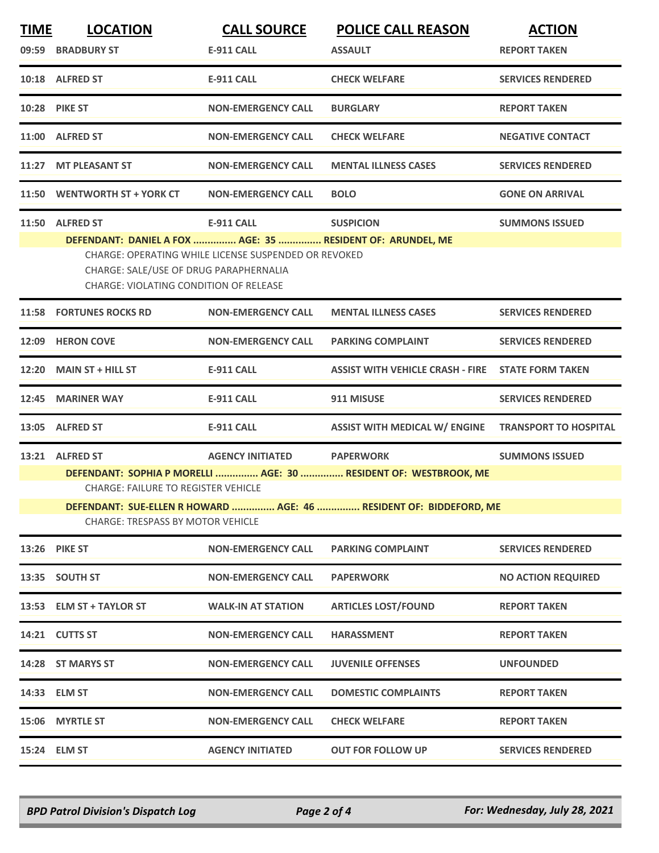| <b>TIME</b> | <b>LOCATION</b>                                                                                                | <b>CALL SOURCE</b>                                   | <b>POLICE CALL REASON</b>                                        | <b>ACTION</b>             |  |
|-------------|----------------------------------------------------------------------------------------------------------------|------------------------------------------------------|------------------------------------------------------------------|---------------------------|--|
|             | 09:59 BRADBURY ST                                                                                              | <b>E-911 CALL</b>                                    | <b>ASSAULT</b>                                                   | <b>REPORT TAKEN</b>       |  |
|             | 10:18 ALFRED ST                                                                                                | <b>E-911 CALL</b>                                    | <b>CHECK WELFARE</b>                                             | <b>SERVICES RENDERED</b>  |  |
|             | <b>10:28 PIKE ST</b>                                                                                           | <b>NON-EMERGENCY CALL</b>                            | <b>BURGLARY</b>                                                  | <b>REPORT TAKEN</b>       |  |
|             | 11:00 ALFRED ST                                                                                                | <b>NON-EMERGENCY CALL</b>                            | <b>CHECK WELFARE</b>                                             | <b>NEGATIVE CONTACT</b>   |  |
|             | 11:27 MT PLEASANT ST                                                                                           | <b>NON-EMERGENCY CALL</b>                            | <b>MENTAL ILLNESS CASES</b>                                      | <b>SERVICES RENDERED</b>  |  |
|             | 11:50 WENTWORTH ST + YORK CT                                                                                   | <b>NON-EMERGENCY CALL</b>                            | <b>BOLO</b>                                                      | <b>GONE ON ARRIVAL</b>    |  |
|             | 11:50 ALFRED ST                                                                                                | <b>E-911 CALL</b>                                    | <b>SUSPICION</b>                                                 | <b>SUMMONS ISSUED</b>     |  |
|             | DEFENDANT: DANIEL A FOX  AGE: 35  RESIDENT OF: ARUNDEL, ME                                                     |                                                      |                                                                  |                           |  |
|             |                                                                                                                | CHARGE: OPERATING WHILE LICENSE SUSPENDED OR REVOKED |                                                                  |                           |  |
|             | CHARGE: SALE/USE OF DRUG PARAPHERNALIA                                                                         |                                                      |                                                                  |                           |  |
|             | CHARGE: VIOLATING CONDITION OF RELEASE                                                                         |                                                      |                                                                  |                           |  |
|             | 11:58 FORTUNES ROCKS RD                                                                                        | <b>NON-EMERGENCY CALL</b>                            | <b>MENTAL ILLNESS CASES</b>                                      | <b>SERVICES RENDERED</b>  |  |
|             | 12:09 HERON COVE                                                                                               | <b>NON-EMERGENCY CALL</b>                            | <b>PARKING COMPLAINT</b>                                         | <b>SERVICES RENDERED</b>  |  |
|             | 12:20 MAIN ST + HILL ST                                                                                        | <b>E-911 CALL</b>                                    | <b>ASSIST WITH VEHICLE CRASH - FIRE</b>                          | <b>STATE FORM TAKEN</b>   |  |
|             | 12:45 MARINER WAY                                                                                              | <b>E-911 CALL</b>                                    | 911 MISUSE                                                       | <b>SERVICES RENDERED</b>  |  |
|             | 13:05 ALFRED ST                                                                                                | E-911 CALL                                           | ASSIST WITH MEDICAL W/ ENGINE TRANSPORT TO HOSPITAL              |                           |  |
|             | 13:21 ALFRED ST                                                                                                | AGENCY INITIATED PAPERWORK                           |                                                                  | <b>SUMMONS ISSUED</b>     |  |
|             |                                                                                                                |                                                      | DEFENDANT: SOPHIA P MORELLI  AGE: 30  RESIDENT OF: WESTBROOK, ME |                           |  |
|             | <b>CHARGE: FAILURE TO REGISTER VEHICLE</b>                                                                     |                                                      |                                                                  |                           |  |
|             | DEFENDANT: SUE-ELLEN R HOWARD  AGE: 46  RESIDENT OF: BIDDEFORD, ME<br><b>CHARGE: TRESPASS BY MOTOR VEHICLE</b> |                                                      |                                                                  |                           |  |
|             | <b>13:26 PIKE ST</b>                                                                                           | <b>NON-EMERGENCY CALL</b>                            | <b>PARKING COMPLAINT</b>                                         | <b>SERVICES RENDERED</b>  |  |
|             | 13:35 SOUTH ST                                                                                                 | <b>NON-EMERGENCY CALL</b>                            | <b>PAPERWORK</b>                                                 | <b>NO ACTION REQUIRED</b> |  |
|             | 13:53 ELM ST + TAYLOR ST                                                                                       | <b>WALK-IN AT STATION</b>                            | <b>ARTICLES LOST/FOUND</b>                                       | <b>REPORT TAKEN</b>       |  |
|             | 14:21 CUTTS ST                                                                                                 | <b>NON-EMERGENCY CALL</b>                            | <b>HARASSMENT</b>                                                | <b>REPORT TAKEN</b>       |  |
|             | 14:28 ST MARYS ST                                                                                              | <b>NON-EMERGENCY CALL</b>                            | <b>JUVENILE OFFENSES</b>                                         | <b>UNFOUNDED</b>          |  |
|             | 14:33 ELM ST                                                                                                   | <b>NON-EMERGENCY CALL</b>                            | <b>DOMESTIC COMPLAINTS</b>                                       | <b>REPORT TAKEN</b>       |  |
|             | 15:06 MYRTLE ST                                                                                                | <b>NON-EMERGENCY CALL</b>                            | <b>CHECK WELFARE</b>                                             | <b>REPORT TAKEN</b>       |  |
|             | 15:24 ELM ST                                                                                                   | <b>AGENCY INITIATED</b>                              | <b>OUT FOR FOLLOW UP</b>                                         | <b>SERVICES RENDERED</b>  |  |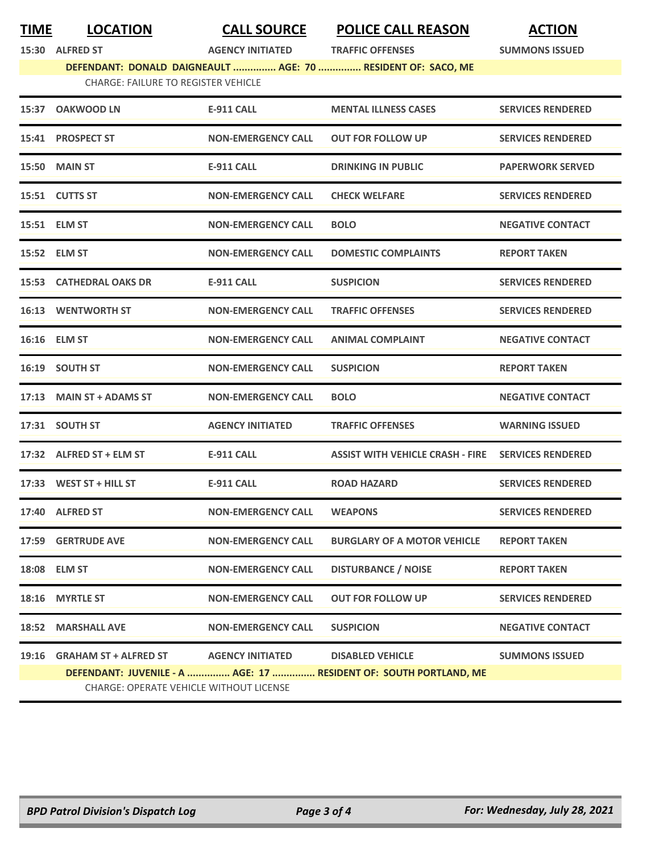|       | 15:30 ALFRED ST                            | <b>AGENCY INITIATED</b>   | <b>TRAFFIC OFFENSES</b>                                           | <b>SUMMONS ISSUED</b>    |  |
|-------|--------------------------------------------|---------------------------|-------------------------------------------------------------------|--------------------------|--|
|       |                                            |                           | DEFENDANT: DONALD DAIGNEAULT  AGE: 70  RESIDENT OF: SACO, ME      |                          |  |
|       | <b>CHARGE: FAILURE TO REGISTER VEHICLE</b> |                           |                                                                   |                          |  |
|       | 15:37 OAKWOOD LN                           | E-911 CALL                | <b>MENTAL ILLNESS CASES</b>                                       | <b>SERVICES RENDERED</b> |  |
|       | 15:41 PROSPECT ST                          | <b>NON-EMERGENCY CALL</b> | <b>OUT FOR FOLLOW UP</b>                                          | <b>SERVICES RENDERED</b> |  |
|       | 15:50 MAIN ST                              | <b>E-911 CALL</b>         | <b>DRINKING IN PUBLIC</b>                                         | <b>PAPERWORK SERVED</b>  |  |
|       | 15:51 CUTTS ST                             | <b>NON-EMERGENCY CALL</b> | <b>CHECK WELFARE</b>                                              | <b>SERVICES RENDERED</b> |  |
|       | 15:51 ELM ST                               | <b>NON-EMERGENCY CALL</b> | <b>BOLO</b>                                                       | <b>NEGATIVE CONTACT</b>  |  |
|       | 15:52 ELM ST                               | <b>NON-EMERGENCY CALL</b> | <b>DOMESTIC COMPLAINTS</b>                                        | <b>REPORT TAKEN</b>      |  |
|       | <b>15:53 CATHEDRAL OAKS DR</b>             | <b>E-911 CALL</b>         | <b>SUSPICION</b>                                                  | <b>SERVICES RENDERED</b> |  |
|       | <b>16:13 WENTWORTH ST</b>                  | <b>NON-EMERGENCY CALL</b> | <b>TRAFFIC OFFENSES</b>                                           | <b>SERVICES RENDERED</b> |  |
|       | 16:16 ELM ST                               | <b>NON-EMERGENCY CALL</b> | <b>ANIMAL COMPLAINT</b>                                           | <b>NEGATIVE CONTACT</b>  |  |
|       | <b>16:19 SOUTH ST</b>                      | <b>NON-EMERGENCY CALL</b> | <b>SUSPICION</b>                                                  | <b>REPORT TAKEN</b>      |  |
|       | 17:13 MAIN ST + ADAMS ST                   | <b>NON-EMERGENCY CALL</b> | <b>BOLO</b>                                                       | <b>NEGATIVE CONTACT</b>  |  |
|       | 17:31 SOUTH ST                             | <b>AGENCY INITIATED</b>   | <b>TRAFFIC OFFENSES</b>                                           | <b>WARNING ISSUED</b>    |  |
|       | 17:32 ALFRED ST + ELM ST                   | <b>E-911 CALL</b>         | <b>ASSIST WITH VEHICLE CRASH - FIRE</b>                           | <b>SERVICES RENDERED</b> |  |
|       | 17:33 WEST ST + HILL ST                    | <b>E-911 CALL</b>         | <b>ROAD HAZARD</b>                                                | <b>SERVICES RENDERED</b> |  |
|       | 17:40 ALFRED ST                            | <b>NON-EMERGENCY CALL</b> | <b>WEAPONS</b>                                                    | <b>SERVICES RENDERED</b> |  |
| 17:59 | <b>GERTRUDE AVE</b>                        | <b>NON-EMERGENCY CALL</b> | <b>BURGLARY OF A MOTOR VEHICLE</b>                                | <b>REPORT TAKEN</b>      |  |
| 18:08 | <b>ELM ST</b>                              | <b>NON-EMERGENCY CALL</b> | <b>DISTURBANCE / NOISE</b>                                        | <b>REPORT TAKEN</b>      |  |
| 18:16 | <b>MYRTLE ST</b>                           | <b>NON-EMERGENCY CALL</b> | <b>OUT FOR FOLLOW UP</b>                                          | <b>SERVICES RENDERED</b> |  |
| 18:52 | <b>MARSHALL AVE</b>                        | <b>NON-EMERGENCY CALL</b> | <b>SUSPICION</b>                                                  | <b>NEGATIVE CONTACT</b>  |  |
| 19:16 | <b>GRAHAM ST + ALFRED ST</b>               | <b>AGENCY INITIATED</b>   | <b>DISABLED VEHICLE</b>                                           | <b>SUMMONS ISSUED</b>    |  |
|       |                                            |                           | DEFENDANT: JUVENILE - A  AGE: 17  RESIDENT OF: SOUTH PORTLAND, ME |                          |  |
|       | CHARGE: OPERATE VEHICLE WITHOUT LICENSE    |                           |                                                                   |                          |  |

**TIME LOCATION CALL SOURCE POLICE CALL REASON ACTION**